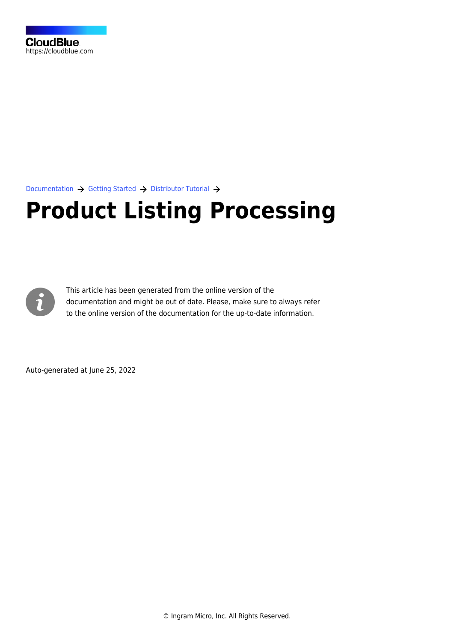[Documentation](https://connect.cloudblue.com/documentation)  $\rightarrow$  [Getting Started](https://connect.cloudblue.com/community/getting-started/)  $\rightarrow$  [Distributor Tutorial](https://connect.cloudblue.com/community/getting-started/distributor/)  $\rightarrow$ 

# **[Product Listing Processing](https://connect.cloudblue.com/community/getting-started/distributor/listings/)**



This article has been generated from the online version of the documentation and might be out of date. Please, make sure to always refer to the online version of the documentation for the up-to-date information.

Auto-generated at June 25, 2022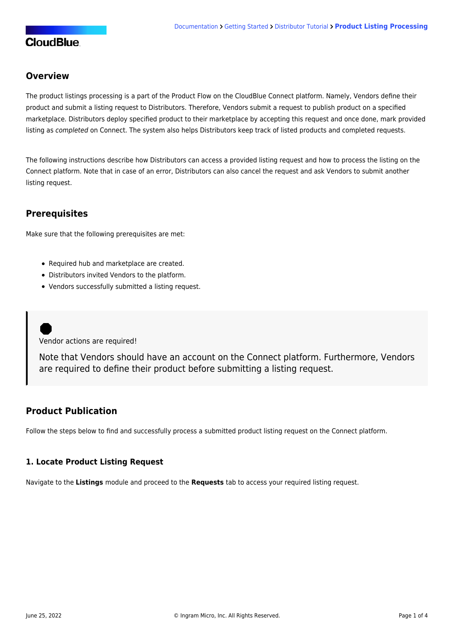# **CloudBlue**

# **Overview**

The product listings processing is a part of the [Product Flow](https://connect.cloudblue.com/community/getting-started/#Business_Flows) on the CloudBlue Connect platform. Namely, Vendors define their product and submit a listing request to Distributors. Therefore, Vendors submit a request to publish product on a specified marketplace. Distributors deploy specified product to their marketplace by accepting this request and once done, mark provided listing as completed on Connect. The system also helps Distributors keep track of listed products and completed requests.

The following instructions describe how Distributors can access a provided listing request and how to process the listing on the Connect platform. Note that in case of an error, Distributors can also cancel the request and ask Vendors to submit another listing request.

## **Prerequisites**

Make sure that the following prerequisites are met:

- Required [hub](https://connect.cloudblue.com/community/getting-started/distributor/#Hub_Registration) and [marketplace](https://connect.cloudblue.com/community/getting-started/distributor/#Marketplace_Creation) are created.
- [Distributors invited Vendors to the platform](https://connect.cloudblue.com/community/getting-started/distributor/partners/).
- Vendors successfully submitted a listing request.

Vendor actions are required!

Note that Vendors should have an account on the Connect platform. Furthermore, Vendors are required to define their product before submitting a listing request.

## **Product Publication**

Follow the steps below to find and successfully process a submitted product listing request on the Connect platform.

#### **1. Locate Product Listing Request**

Navigate to the **Listings** module and proceed to the **Requests** tab to access your required listing request.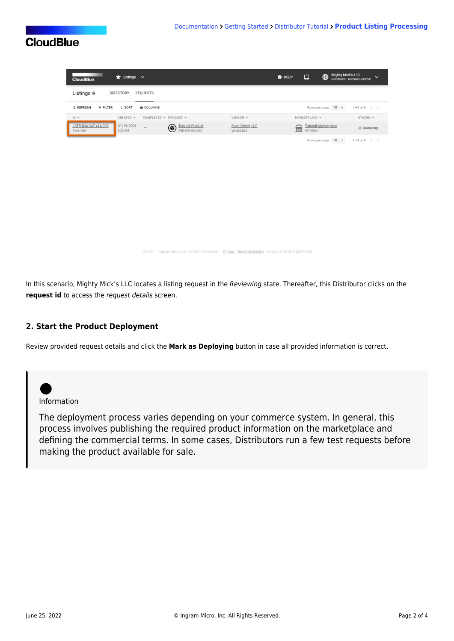# **CloudBlue**

| $\bigstar$ Listings $\vee$<br><b>CloudBlue</b>                                                                                      | <b>Mighty Mick's LLC</b><br>$\bigoplus$<br>$\Box$<br>$Q$ HELP<br>$\checkmark$<br>Distributor · Michael Goldmill |
|-------------------------------------------------------------------------------------------------------------------------------------|-----------------------------------------------------------------------------------------------------------------|
| Listings <sup>®</sup><br><b>DIRECTORY</b><br><b>REQUESTS</b>                                                                        |                                                                                                                 |
| C REFRESH<br>$F$ FILTER<br>$L$ SORT<br><b>III</b> COLUMNS                                                                           | Rows per page 10 -<br>$1-9$ of $9 \leq$                                                                         |
| $ID -$<br>CREATED -<br>COMPLETED $\arrow$ PRODUCT $\arrow$<br>VENDOR -                                                              | STATUS $\sim$<br>MARKETPLACE -                                                                                  |
| LSTR-894-347-414-001<br>01/19/2021<br>Tutorial Product<br>Front Street, LLC<br>$\overline{a}$<br>9:25 AM<br>Type: New<br>VA-486-834 | <b>Tutorial Marketplace</b><br>盒<br><b>Reviewing</b><br>MP-38661                                                |
|                                                                                                                                     | Rows per page 10 -<br>$1-9$ of $9 \leq$                                                                         |
|                                                                                                                                     |                                                                                                                 |
|                                                                                                                                     |                                                                                                                 |
|                                                                                                                                     |                                                                                                                 |
|                                                                                                                                     |                                                                                                                 |

© 2021 - Ingram Micro Inc. All Rights Reserved. - Privacy | Terms of Service - Version 21.0.1019-g339040

In this scenario, Mighty Mick's LLC locates a listing request in the Reviewing state. Thereafter, this Distributor clicks on the **request id** to access the request details screen.

## **2. Start the Product Deployment**

Review provided request details and click the **Mark as Deploying** button in case all provided information is correct.



The deployment process varies depending on your commerce system. In general, this process involves publishing the required product information on the marketplace and defining the commercial terms. In some cases, Distributors run a few test requests before making the product available for sale.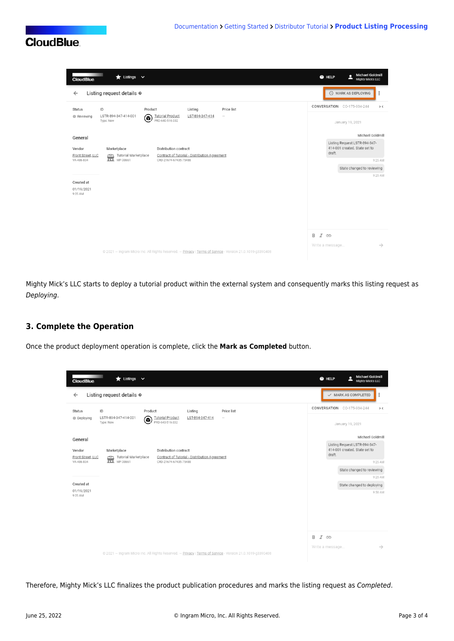

| $\bigstar$ Listings $\vee$<br><b>CloudBlue</b>                                                                                                            | <b>Michael Goldmill</b><br>д<br>@ HELP<br><b>Mighty Mick's LLC</b>       |
|-----------------------------------------------------------------------------------------------------------------------------------------------------------|--------------------------------------------------------------------------|
| Listing request details @<br>$\leftarrow$                                                                                                                 | <b>O MARK AS DEPLOYING</b><br>÷                                          |
| Product<br>Listing<br>ID<br>Price list<br><b>Status</b>                                                                                                   | CONVERSATION CO-175-934-244<br>>                                         |
| LSTR-894-347-414-001<br><b>Tutorial Product</b><br>LST-894-347-414<br><b>B</b> Reviewing<br>$\overline{\phantom{a}}$<br>◉<br>Type: New<br>PRD-640-516-332 | January 19, 2021                                                         |
| General                                                                                                                                                   | Michael Goldmill                                                         |
| Marketplace<br><b>Distribution contract</b><br>Vendor<br>Tutorial Marketplace<br>Contract of Tutorial - Distribution Agreement<br>Front Street, LLC       | Listing Request LSTR-894-347-<br>414-001 created. State set to<br>draft. |
| CRD-21674-67435-75488<br>VA-486-834                                                                                                                       | 9:25 AM                                                                  |
|                                                                                                                                                           | State changed to reviewing<br>9:25 AM                                    |
| Created at                                                                                                                                                |                                                                          |
| 01/19/2021<br>9:25 AM                                                                                                                                     |                                                                          |
|                                                                                                                                                           |                                                                          |
|                                                                                                                                                           |                                                                          |
|                                                                                                                                                           |                                                                          |
| B                                                                                                                                                         | $I \oplus$                                                               |
|                                                                                                                                                           | $\rightarrow$<br>Write a message                                         |
| @ 2021 - Ingram Micro Inc. All Rights Reserved. - Privacy   Terms of Service - Version 21.0.1019-g3390408                                                 |                                                                          |

Mighty Mick's LLC starts to deploy a tutorial product within the external system and consequently marks this listing request as Deploying.

## **3. Complete the Operation**

Once the product deployment operation is complete, click the **Mark as Completed** button.

| <b>CloudBlue</b>            | $\bigstar$ Listings $\vee$                                                                                                          | <b>Michael Goldmill</b><br>@ HELP<br><b>Mighty Mick's LLC</b>            |
|-----------------------------|-------------------------------------------------------------------------------------------------------------------------------------|--------------------------------------------------------------------------|
| $\leftarrow$                | Listing request details $\circ$                                                                                                     | $\checkmark$ MARK AS COMPLETED<br>$\vdots$                               |
| <b>Status</b>               | Product<br>Listing<br>Price list<br>ID                                                                                              | CONVERSATION CO-175-934-244<br>$>\zeta$                                  |
| <b>B</b> Deploying          | LSTR-894-347-414-001<br><b>Tutorial Product</b><br>LST-894-347-414<br>⋐<br>$\overline{\phantom{a}}$<br>PRD-640-516-332<br>Type: New | January 19, 2021                                                         |
| General                     |                                                                                                                                     | Michael Goldmill                                                         |
| Vendor<br>Front Street, LLC | Marketplace<br><b>Distribution contract</b><br>Contract of Tutorial - Distribution Agreement                                        | Listing Request LSTR-894-347-<br>414-001 created. State set to<br>draft. |
| VA-486-834                  | Tutorial Marketplace<br>CRD-21674-67435-75488                                                                                       | 9:25 AM                                                                  |
|                             |                                                                                                                                     | State changed to reviewing                                               |
| Created at                  |                                                                                                                                     | 9:25 AM                                                                  |
| 01/19/2021                  |                                                                                                                                     | State changed to deploying<br>9:58 AM                                    |
| 9:25 AM                     |                                                                                                                                     |                                                                          |
|                             |                                                                                                                                     | B<br>$I \oplus$                                                          |
|                             | @ 2021 - Ingram Micro Inc. All Rights Reserved. - Privacy   Terms of Service - Version 21.0.1019-g3390408                           | $\rightarrow$<br>Write a message                                         |

Therefore, Mighty Mick's LLC finalizes the product publication procedures and marks the listing request as Completed.